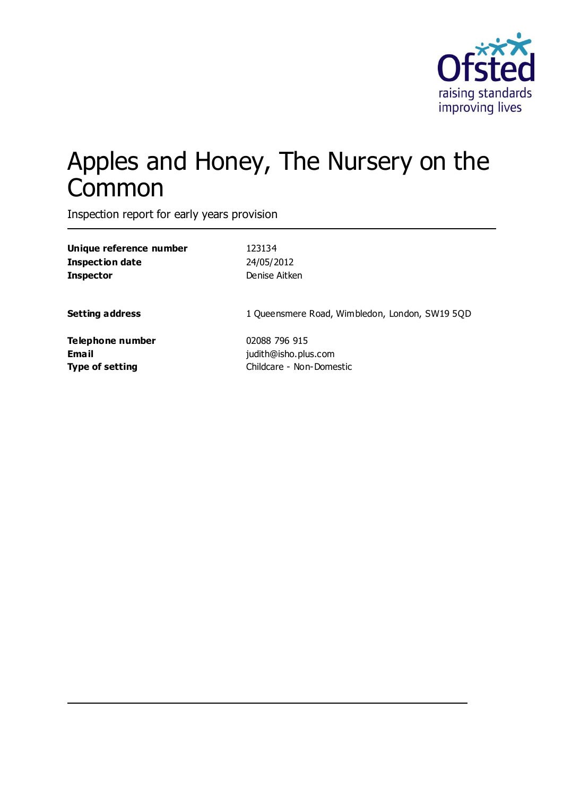

# Apples and Honey, The Nursery on the **Common**

Inspection report for early years provision

| Unique reference number | 123134                                         |
|-------------------------|------------------------------------------------|
| <b>Inspection date</b>  | 24/05/2012                                     |
| <b>Inspector</b>        | Denise Aitken                                  |
| <b>Setting address</b>  | 1 Queensmere Road, Wimbledon, London, SW19 5QD |
| Telephone number        | 02088 796 915                                  |
| Email                   | judith@isho.plus.com                           |
| <b>Type of setting</b>  | Childcare - Non-Domestic                       |
|                         |                                                |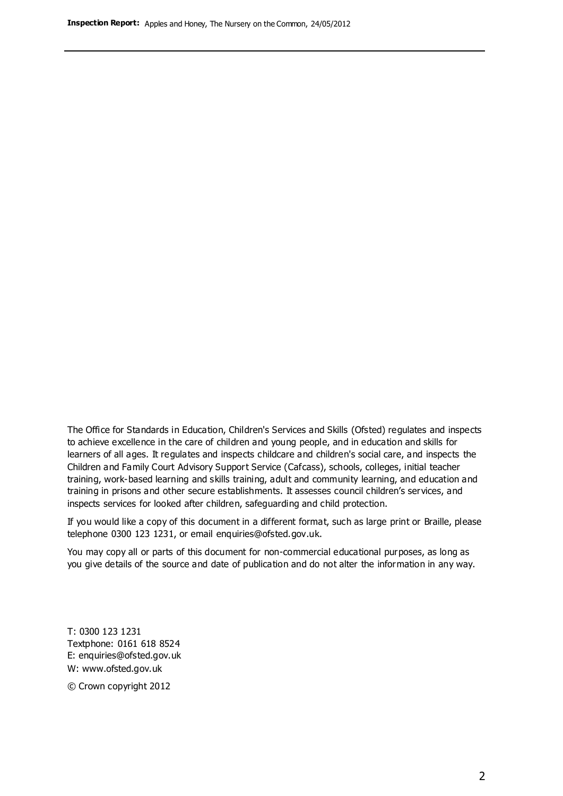The Office for Standards in Education, Children's Services and Skills (Ofsted) regulates and inspects to achieve excellence in the care of children and young people, and in education and skills for learners of all ages. It regulates and inspects childcare and children's social care, and inspects the Children and Family Court Advisory Support Service (Cafcass), schools, colleges, initial teacher training, work-based learning and skills training, adult and community learning, and education and training in prisons and other secure establishments. It assesses council children's services, and inspects services for looked after children, safeguarding and child protection.

If you would like a copy of this document in a different format, such as large print or Braille, please telephone 0300 123 1231, or email enquiries@ofsted.gov.uk.

You may copy all or parts of this document for non-commercial educational purposes, as long as you give details of the source and date of publication and do not alter the information in any way.

T: 0300 123 1231 Textphone: 0161 618 8524 E: enquiries@ofsted.gov.uk W: [www.ofsted.gov.uk](http://www.ofsted.gov.uk/)

© Crown copyright 2012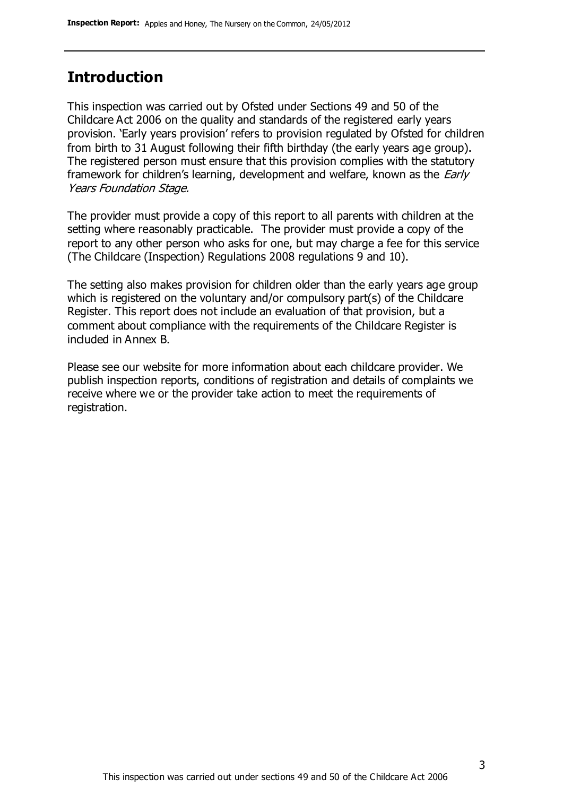### **Introduction**

This inspection was carried out by Ofsted under Sections 49 and 50 of the Childcare Act 2006 on the quality and standards of the registered early years provision. 'Early years provision' refers to provision regulated by Ofsted for children from birth to 31 August following their fifth birthday (the early years age group). The registered person must ensure that this provision complies with the statutory framework for children's learning, development and welfare, known as the *Early* Years Foundation Stage.

The provider must provide a copy of this report to all parents with children at the setting where reasonably practicable. The provider must provide a copy of the report to any other person who asks for one, but may charge a fee for this service (The Childcare (Inspection) Regulations 2008 regulations 9 and 10).

The setting also makes provision for children older than the early years age group which is registered on the voluntary and/or compulsory part(s) of the Childcare Register. This report does not include an evaluation of that provision, but a comment about compliance with the requirements of the Childcare Register is included in Annex B.

Please see our website for more information about each childcare provider. We publish inspection reports, conditions of registration and details of complaints we receive where we or the provider take action to meet the requirements of registration.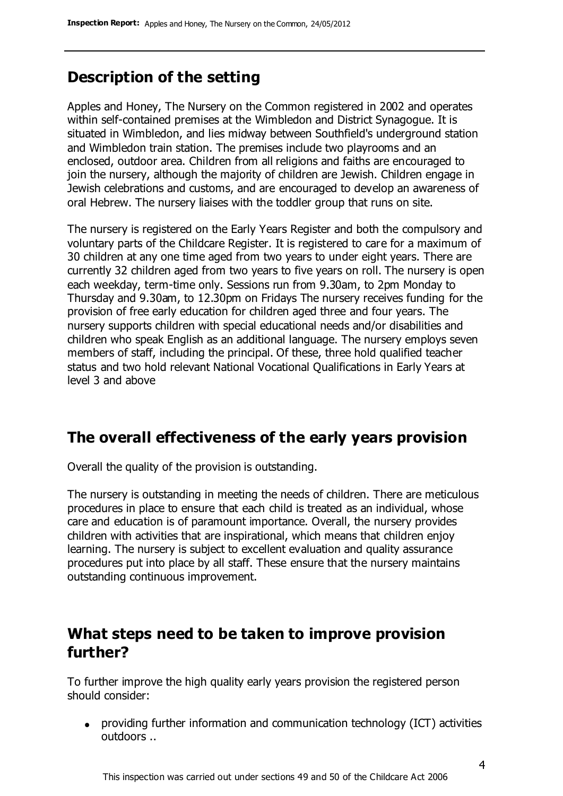### **Description of the setting**

Apples and Honey, The Nursery on the Common registered in 2002 and operates within self-contained premises at the Wimbledon and District Synagogue. It is situated in Wimbledon, and lies midway between Southfield's underground station and Wimbledon train station. The premises include two playrooms and an enclosed, outdoor area. Children from all religions and faiths are encouraged to join the nursery, although the majority of children are Jewish. Children engage in Jewish celebrations and customs, and are encouraged to develop an awareness of oral Hebrew. The nursery liaises with the toddler group that runs on site.

The nursery is registered on the Early Years Register and both the compulsory and voluntary parts of the Childcare Register. It is registered to care for a maximum of 30 children at any one time aged from two years to under eight years. There are currently 32 children aged from two years to five years on roll. The nursery is open each weekday, term-time only. Sessions run from 9.30am, to 2pm Monday to Thursday and 9.30am, to 12.30pm on Fridays The nursery receives funding for the provision of free early education for children aged three and four years. The nursery supports children with special educational needs and/or disabilities and children who speak English as an additional language. The nursery employs seven members of staff, including the principal. Of these, three hold qualified teacher status and two hold relevant National Vocational Qualifications in Early Years at level 3 and above

### **The overall effectiveness of the early years provision**

Overall the quality of the provision is outstanding.

The nursery is outstanding in meeting the needs of children. There are meticulous procedures in place to ensure that each child is treated as an individual, whose care and education is of paramount importance. Overall, the nursery provides children with activities that are inspirational, which means that children enjoy learning. The nursery is subject to excellent evaluation and quality assurance procedures put into place by all staff. These ensure that the nursery maintains outstanding continuous improvement.

### **What steps need to be taken to improve provision further?**

To further improve the high quality early years provision the registered person should consider:

providing further information and communication technology (ICT) activities outdoors ..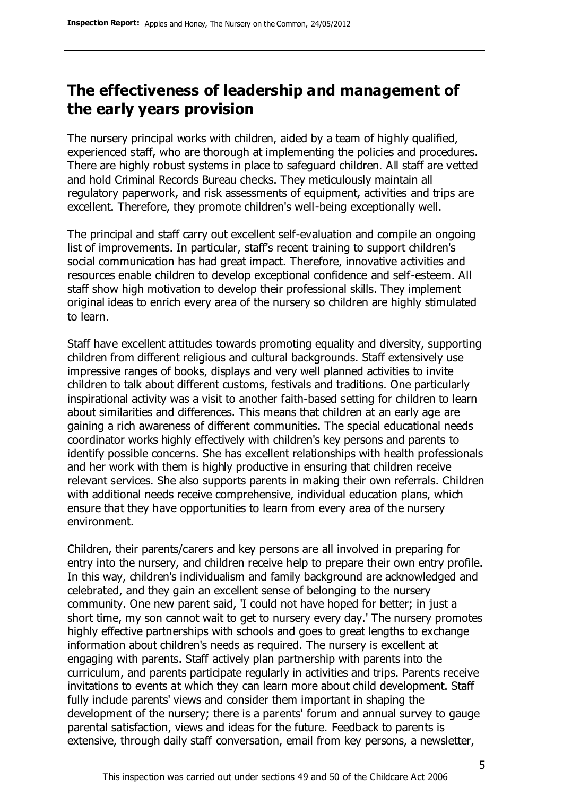### **The effectiveness of leadership and management of the early years provision**

The nursery principal works with children, aided by a team of highly qualified, experienced staff, who are thorough at implementing the policies and procedures. There are highly robust systems in place to safeguard children. All staff are vetted and hold Criminal Records Bureau checks. They meticulously maintain all regulatory paperwork, and risk assessments of equipment, activities and trips are excellent. Therefore, they promote children's well-being exceptionally well.

The principal and staff carry out excellent self-evaluation and compile an ongoing list of improvements. In particular, staff's recent training to support children's social communication has had great impact. Therefore, innovative activities and resources enable children to develop exceptional confidence and self-esteem. All staff show high motivation to develop their professional skills. They implement original ideas to enrich every area of the nursery so children are highly stimulated to learn.

Staff have excellent attitudes towards promoting equality and diversity, supporting children from different religious and cultural backgrounds. Staff extensively use impressive ranges of books, displays and very well planned activities to invite children to talk about different customs, festivals and traditions. One particularly inspirational activity was a visit to another faith-based setting for children to learn about similarities and differences. This means that children at an early age are gaining a rich awareness of different communities. The special educational needs coordinator works highly effectively with children's key persons and parents to identify possible concerns. She has excellent relationships with health professionals and her work with them is highly productive in ensuring that children receive relevant services. She also supports parents in making their own referrals. Children with additional needs receive comprehensive, individual education plans, which ensure that they have opportunities to learn from every area of the nursery environment.

Children, their parents/carers and key persons are all involved in preparing for entry into the nursery, and children receive help to prepare their own entry profile. In this way, children's individualism and family background are acknowledged and celebrated, and they gain an excellent sense of belonging to the nursery community. One new parent said, 'I could not have hoped for better; in just a short time, my son cannot wait to get to nursery every day.' The nursery promotes highly effective partnerships with schools and goes to great lengths to exchange information about children's needs as required. The nursery is excellent at engaging with parents. Staff actively plan partnership with parents into the curriculum, and parents participate regularly in activities and trips. Parents receive invitations to events at which they can learn more about child development. Staff fully include parents' views and consider them important in shaping the development of the nursery; there is a parents' forum and annual survey to gauge parental satisfaction, views and ideas for the future. Feedback to parents is extensive, through daily staff conversation, email from key persons, a newsletter,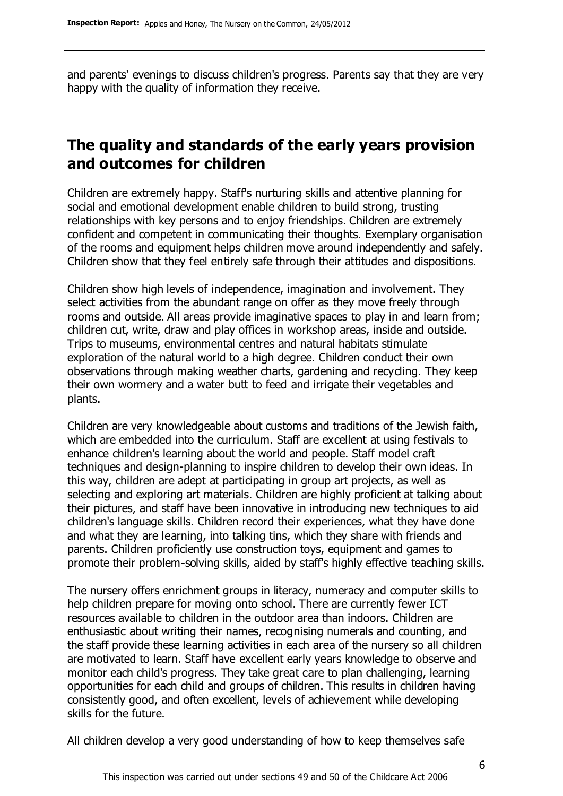and parents' evenings to discuss children's progress. Parents say that they are very happy with the quality of information they receive.

### **The quality and standards of the early years provision and outcomes for children**

Children are extremely happy. Staff's nurturing skills and attentive planning for social and emotional development enable children to build strong, trusting relationships with key persons and to enjoy friendships. Children are extremely confident and competent in communicating their thoughts. Exemplary organisation of the rooms and equipment helps children move around independently and safely. Children show that they feel entirely safe through their attitudes and dispositions.

Children show high levels of independence, imagination and involvement. They select activities from the abundant range on offer as they move freely through rooms and outside. All areas provide imaginative spaces to play in and learn from; children cut, write, draw and play offices in workshop areas, inside and outside. Trips to museums, environmental centres and natural habitats stimulate exploration of the natural world to a high degree. Children conduct their own observations through making weather charts, gardening and recycling. They keep their own wormery and a water butt to feed and irrigate their vegetables and plants.

Children are very knowledgeable about customs and traditions of the Jewish faith, which are embedded into the curriculum. Staff are excellent at using festivals to enhance children's learning about the world and people. Staff model craft techniques and design-planning to inspire children to develop their own ideas. In this way, children are adept at participating in group art projects, as well as selecting and exploring art materials. Children are highly proficient at talking about their pictures, and staff have been innovative in introducing new techniques to aid children's language skills. Children record their experiences, what they have done and what they are learning, into talking tins, which they share with friends and parents. Children proficiently use construction toys, equipment and games to promote their problem-solving skills, aided by staff's highly effective teaching skills.

The nursery offers enrichment groups in literacy, numeracy and computer skills to help children prepare for moving onto school. There are currently fewer ICT resources available to children in the outdoor area than indoors. Children are enthusiastic about writing their names, recognising numerals and counting, and the staff provide these learning activities in each area of the nursery so all children are motivated to learn. Staff have excellent early years knowledge to observe and monitor each child's progress. They take great care to plan challenging, learning opportunities for each child and groups of children. This results in children having consistently good, and often excellent, levels of achievement while developing skills for the future.

All children develop a very good understanding of how to keep themselves safe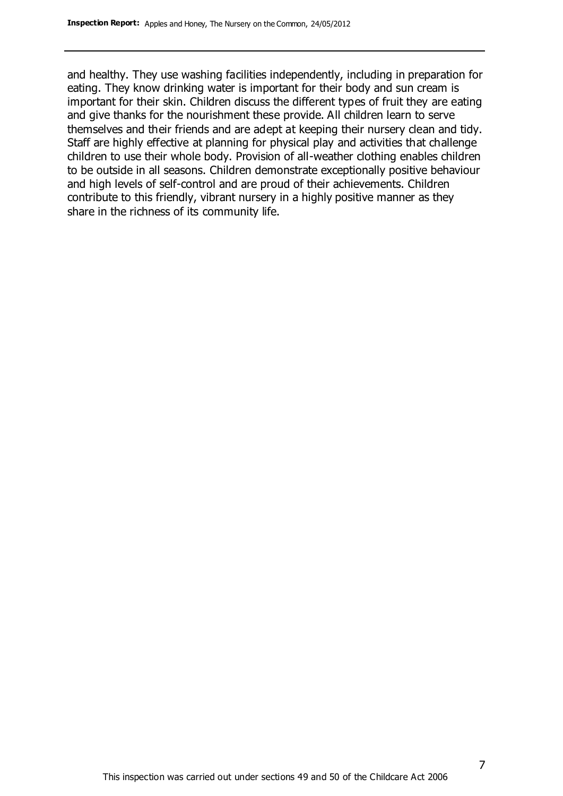and healthy. They use washing facilities independently, including in preparation for eating. They know drinking water is important for their body and sun cream is important for their skin. Children discuss the different types of fruit they are eating and give thanks for the nourishment these provide. All children learn to serve themselves and their friends and are adept at keeping their nursery clean and tidy. Staff are highly effective at planning for physical play and activities that challenge children to use their whole body. Provision of all-weather clothing enables children to be outside in all seasons. Children demonstrate exceptionally positive behaviour and high levels of self-control and are proud of their achievements. Children contribute to this friendly, vibrant nursery in a highly positive manner as they share in the richness of its community life.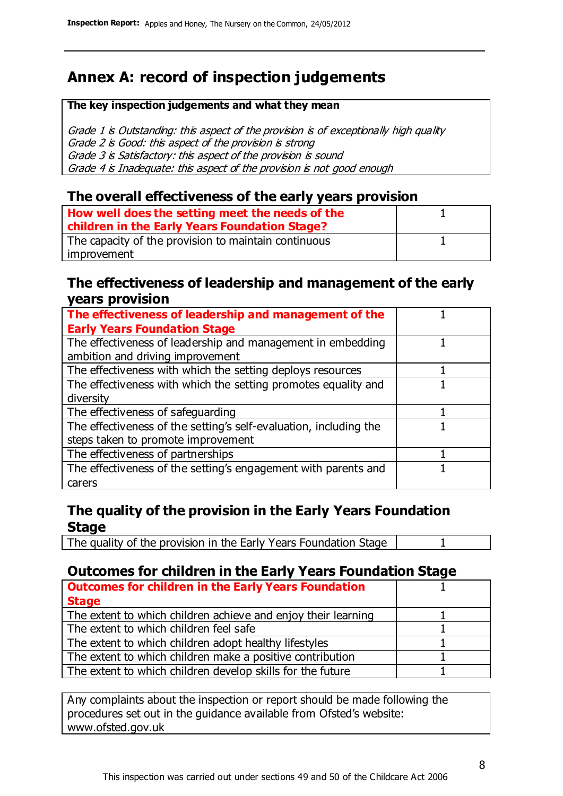### **Annex A: record of inspection judgements**

#### **The key inspection judgements and what they mean**

Grade 1 is Outstanding: this aspect of the provision is of exceptionally high quality Grade 2 is Good: this aspect of the provision is strong Grade 3 is Satisfactory: this aspect of the provision is sound Grade 4 is Inadequate: this aspect of the provision is not good enough

#### **The overall effectiveness of the early years provision**

| How well does the setting meet the needs of the      |  |
|------------------------------------------------------|--|
| children in the Early Years Foundation Stage?        |  |
| The capacity of the provision to maintain continuous |  |
| improvement                                          |  |

#### **The effectiveness of leadership and management of the early years provision**

| The effectiveness of leadership and management of the             |  |
|-------------------------------------------------------------------|--|
| <b>Early Years Foundation Stage</b>                               |  |
| The effectiveness of leadership and management in embedding       |  |
| ambition and driving improvement                                  |  |
| The effectiveness with which the setting deploys resources        |  |
| The effectiveness with which the setting promotes equality and    |  |
| diversity                                                         |  |
| The effectiveness of safeguarding                                 |  |
| The effectiveness of the setting's self-evaluation, including the |  |
| steps taken to promote improvement                                |  |
| The effectiveness of partnerships                                 |  |
| The effectiveness of the setting's engagement with parents and    |  |
| carers                                                            |  |

#### **The quality of the provision in the Early Years Foundation Stage**

The quality of the provision in the Early Years Foundation Stage | 1

#### **Outcomes for children in the Early Years Foundation Stage**

| <b>Outcomes for children in the Early Years Foundation</b>    |  |
|---------------------------------------------------------------|--|
| <b>Stage</b>                                                  |  |
| The extent to which children achieve and enjoy their learning |  |
| The extent to which children feel safe                        |  |
| The extent to which children adopt healthy lifestyles         |  |
| The extent to which children make a positive contribution     |  |
| The extent to which children develop skills for the future    |  |

Any complaints about the inspection or report should be made following the procedures set out in the guidance available from Ofsted's website: www.ofsted.gov.uk